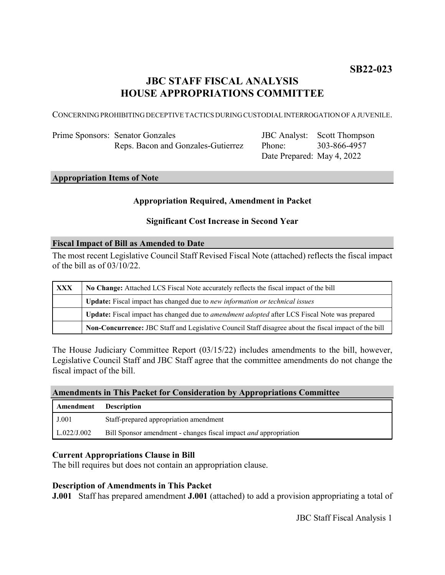# **JBC STAFF FISCAL ANALYSIS HOUSE APPROPRIATIONS COMMITTEE**

CONCERNING PROHIBITING DECEPTIVE TACTICS DURING CUSTODIAL INTERROGATION OF A JUVENILE.

| Prime Sponsors: Senator Gonzales   |
|------------------------------------|
| Reps. Bacon and Gonzales-Gutierrez |

JBC Analyst: Scott Thompson Phone: Date Prepared: May 4, 2022 303-866-4957

# **Appropriation Items of Note**

## **Appropriation Required, Amendment in Packet**

## **Significant Cost Increase in Second Year**

#### **Fiscal Impact of Bill as Amended to Date**

The most recent Legislative Council Staff Revised Fiscal Note (attached) reflects the fiscal impact of the bill as of 03/10/22.

| XXX | No Change: Attached LCS Fiscal Note accurately reflects the fiscal impact of the bill                       |
|-----|-------------------------------------------------------------------------------------------------------------|
|     | Update: Fiscal impact has changed due to new information or technical issues                                |
|     | <b>Update:</b> Fiscal impact has changed due to <i>amendment adopted</i> after LCS Fiscal Note was prepared |
|     | Non-Concurrence: JBC Staff and Legislative Council Staff disagree about the fiscal impact of the bill       |

The House Judiciary Committee Report (03/15/22) includes amendments to the bill, however, Legislative Council Staff and JBC Staff agree that the committee amendments do not change the fiscal impact of the bill.

### **Amendments in This Packet for Consideration by Appropriations Committee**

| <b>Amendment</b> Description |                                                                         |
|------------------------------|-------------------------------------------------------------------------|
| J.001                        | Staff-prepared appropriation amendment                                  |
| L.022/J.002                  | Bill Sponsor amendment - changes fiscal impact <i>and</i> appropriation |

#### **Current Appropriations Clause in Bill**

The bill requires but does not contain an appropriation clause.

#### **Description of Amendments in This Packet**

**J.001** Staff has prepared amendment **J.001** (attached) to add a provision appropriating a total of